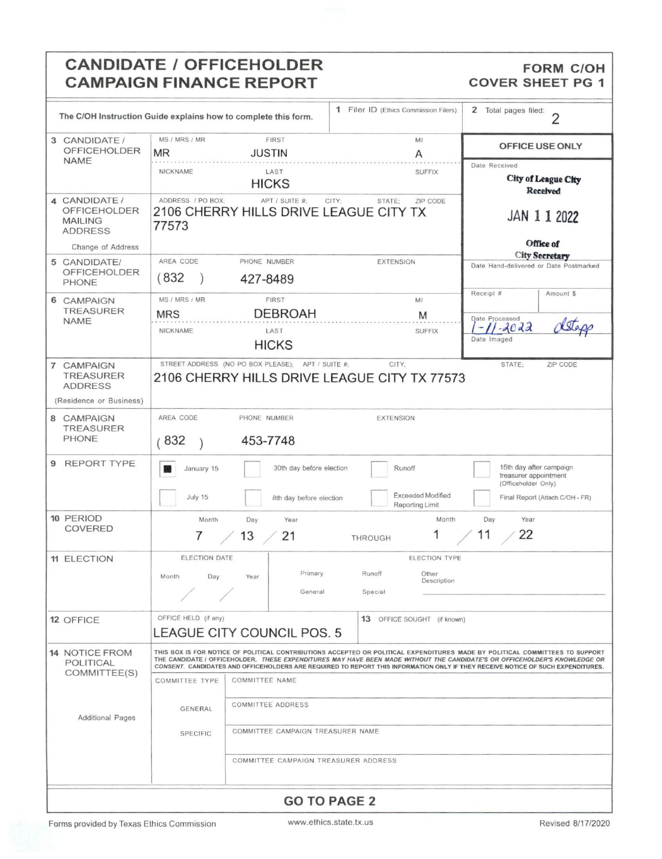## **CANDIDATE / OFFICEHOLDER** CAMPAIGN FINANCE REPORT COVER SHEET PG 1

## **FORM C/OH**

| The C/OH Instruction Guide explains how to complete this form.           |                                                                                                                                                                                                                                                                                                                                                                                               |                                                   | 1 Filer ID (Ethics Commission Filers)                                 | 2<br>Total pages filed:<br>$\overline{2}$                               |  |  |
|--------------------------------------------------------------------------|-----------------------------------------------------------------------------------------------------------------------------------------------------------------------------------------------------------------------------------------------------------------------------------------------------------------------------------------------------------------------------------------------|---------------------------------------------------|-----------------------------------------------------------------------|-------------------------------------------------------------------------|--|--|
| 3 CANDIDATE /<br><b>OFFICEHOLDER</b><br><b>NAME</b>                      | MS / MRS / MR<br><b>MR</b>                                                                                                                                                                                                                                                                                                                                                                    | <b>FIRST</b><br><b>JUSTIN</b>                     | MI<br>Α                                                               | OFFICE USE ONLY                                                         |  |  |
|                                                                          | NICKNAME                                                                                                                                                                                                                                                                                                                                                                                      | LAST<br><b>HICKS</b>                              | <b>SUFFIX</b>                                                         | Date Received<br><b>City of League City</b><br><b>Received</b>          |  |  |
| 4 CANDIDATE /<br><b>OFFICEHOLDER</b><br><b>MAILING</b><br><b>ADDRESS</b> | ADDRESS / PO BOX;<br>77573                                                                                                                                                                                                                                                                                                                                                                    | APT / SUITE #;                                    | CITY:<br>STATE:<br>ZIP CODE<br>2106 CHERRY HILLS DRIVE LEAGUE CITY TX | JAN 1 1 2022<br>Office of                                               |  |  |
| Change of Address                                                        |                                                                                                                                                                                                                                                                                                                                                                                               |                                                   |                                                                       | <b>City Secretary</b>                                                   |  |  |
| 5 CANDIDATE/<br><b>OFFICEHOLDER</b><br>PHONE                             | AREA CODE<br>(832)                                                                                                                                                                                                                                                                                                                                                                            | PHONE NUMBER<br>427-8489                          | <b>EXTENSION</b>                                                      | Date Hand-delivered or Date Postmarked                                  |  |  |
| 6 CAMPAIGN                                                               | MS / MRS / MR                                                                                                                                                                                                                                                                                                                                                                                 | <b>FIRST</b>                                      | MI                                                                    | Receipt #<br>Amount \$                                                  |  |  |
| <b>TREASURER</b>                                                         | <b>MRS</b>                                                                                                                                                                                                                                                                                                                                                                                    | <b>DEBROAH</b>                                    | M                                                                     |                                                                         |  |  |
| <b>NAME</b>                                                              | NICKNAME                                                                                                                                                                                                                                                                                                                                                                                      | LAST                                              | <b>SUFFIX</b>                                                         | Date Processed<br>$-11 - 2022$                                          |  |  |
|                                                                          |                                                                                                                                                                                                                                                                                                                                                                                               | <b>HICKS</b>                                      |                                                                       | Date Imaged                                                             |  |  |
| 7 CAMPAIGN<br><b>TREASURER</b><br><b>ADDRESS</b>                         |                                                                                                                                                                                                                                                                                                                                                                                               | STREET ADDRESS (NO PO BOX PLEASE); APT / SUITE #; | CITY:<br>2106 CHERRY HILLS DRIVE LEAGUE CITY TX 77573                 | ZIP CODE<br>STATE:                                                      |  |  |
| (Residence or Business)                                                  |                                                                                                                                                                                                                                                                                                                                                                                               |                                                   |                                                                       |                                                                         |  |  |
| 8 CAMPAIGN                                                               | AREA CODE                                                                                                                                                                                                                                                                                                                                                                                     | PHONE NUMBER                                      | <b>EXTENSION</b>                                                      |                                                                         |  |  |
| <b>TREASURER</b><br><b>PHONE</b>                                         | 453-7748<br>(832)                                                                                                                                                                                                                                                                                                                                                                             |                                                   |                                                                       |                                                                         |  |  |
| <b>REPORT TYPE</b><br>9                                                  | January 15                                                                                                                                                                                                                                                                                                                                                                                    | 30th day before election                          | Runoff                                                                | 15th day after campaign<br>treasurer appointment<br>(Officeholder Only) |  |  |
|                                                                          | July 15                                                                                                                                                                                                                                                                                                                                                                                       | 8th day before election                           | <b>Exceeded Modified</b><br>Reporting Limit                           | Final Report (Attach C/OH - FR)                                         |  |  |
| 10 PERIOD                                                                | Month                                                                                                                                                                                                                                                                                                                                                                                         | Day<br>Year                                       | Month                                                                 | Day<br>Year                                                             |  |  |
| COVERED                                                                  |                                                                                                                                                                                                                                                                                                                                                                                               |                                                   |                                                                       | 11<br>22                                                                |  |  |
|                                                                          | 7                                                                                                                                                                                                                                                                                                                                                                                             | 13<br>21                                          | THROUGH                                                               |                                                                         |  |  |
| <b>11 ELECTION</b>                                                       | ELECTION DATE                                                                                                                                                                                                                                                                                                                                                                                 |                                                   | ELECTION TYPE                                                         |                                                                         |  |  |
|                                                                          | Month<br>Day                                                                                                                                                                                                                                                                                                                                                                                  | Primary<br>Year                                   | Runoff<br>Other                                                       |                                                                         |  |  |
|                                                                          |                                                                                                                                                                                                                                                                                                                                                                                               |                                                   | Description                                                           |                                                                         |  |  |
|                                                                          |                                                                                                                                                                                                                                                                                                                                                                                               | General                                           | Special                                                               |                                                                         |  |  |
| 12 OFFICE                                                                | OFFICE HELD (if any)                                                                                                                                                                                                                                                                                                                                                                          |                                                   | 13 OFFICE SOUGHT (if known)                                           |                                                                         |  |  |
|                                                                          |                                                                                                                                                                                                                                                                                                                                                                                               | LEAGUE CITY COUNCIL POS. 5                        |                                                                       |                                                                         |  |  |
|                                                                          |                                                                                                                                                                                                                                                                                                                                                                                               |                                                   |                                                                       |                                                                         |  |  |
| <b>14 NOTICE FROM</b><br>POLITICAL                                       | THIS BOX IS FOR NOTICE OF POLITICAL CONTRIBUTIONS ACCEPTED OR POLITICAL EXPENDITURES MADE BY POLITICAL COMMITTEES TO SUPPORT<br>THE CANDIDATE / OFFICEHOLDER. THESE EXPENDITURES MAY HAVE BEEN MADE WITHOUT THE CANDIDATE'S OR OFFICEHOLDER'S KNOWLEDGE OR<br>CONSENT. CANDIDATES AND OFFICEHOLDERS ARE REQUIRED TO REPORT THIS INFORMATION ONLY IF THEY RECEIVE NOTICE OF SUCH EXPENDITURES. |                                                   |                                                                       |                                                                         |  |  |
| COMMITTEE(S)                                                             | <b>COMMITTEE NAME</b><br><b>COMMITTEE TYPE</b>                                                                                                                                                                                                                                                                                                                                                |                                                   |                                                                       |                                                                         |  |  |
|                                                                          |                                                                                                                                                                                                                                                                                                                                                                                               |                                                   |                                                                       |                                                                         |  |  |
|                                                                          | GENERAL                                                                                                                                                                                                                                                                                                                                                                                       | <b>COMMITTEE ADDRESS</b>                          |                                                                       |                                                                         |  |  |
| <b>Additional Pages</b>                                                  |                                                                                                                                                                                                                                                                                                                                                                                               |                                                   |                                                                       |                                                                         |  |  |
|                                                                          | SPECIFIC                                                                                                                                                                                                                                                                                                                                                                                      | COMMITTEE CAMPAIGN TREASURER NAME                 |                                                                       |                                                                         |  |  |
|                                                                          |                                                                                                                                                                                                                                                                                                                                                                                               | COMMITTEE CAMPAIGN TREASURER ADDRESS              |                                                                       |                                                                         |  |  |
| <b>GO TO PAGE 2</b>                                                      |                                                                                                                                                                                                                                                                                                                                                                                               |                                                   |                                                                       |                                                                         |  |  |